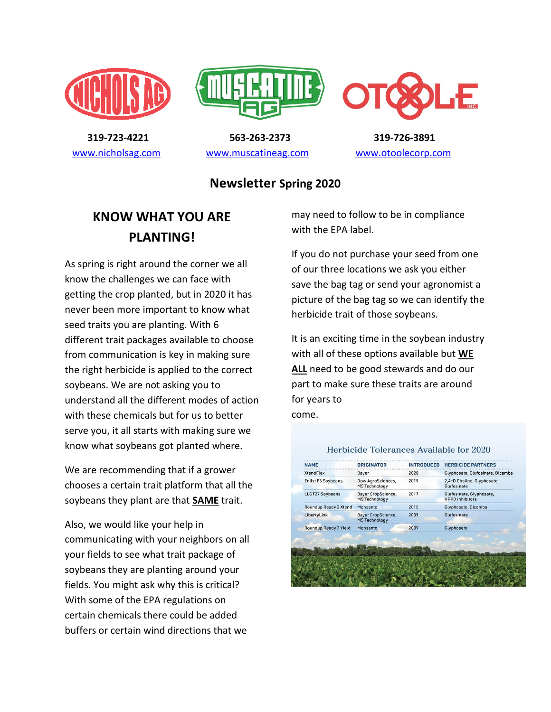





 **319-723-4221 563-263-2373 319-726-3891**  [www.nicholsag.com](http://www.nicholsag.com/) [www.muscatineag.com](http://www.muscatineag.com/) [www.otoolecorp.com](http://www.otoolecorp.com/)

#### **Newsletter Spring 2020**

### **KNOW WHAT YOU ARE PLANTING!**

As spring is right around the corner we all know the challenges we can face with getting the crop planted, but in 2020 it has never been more important to know what seed traits you are planting. With 6 different trait packages available to choose from communication is key in making sure the right herbicide is applied to the correct soybeans. We are not asking you to understand all the different modes of action with these chemicals but for us to better serve you, it all starts with making sure we know what soybeans got planted where.

We are recommending that if a grower chooses a certain trait platform that all the soybeans they plant are that **SAME** trait.

Also, we would like your help in communicating with your neighbors on all your fields to see what trait package of soybeans they are planting around your fields. You might ask why this is critical? With some of the EPA regulations on certain chemicals there could be added buffers or certain wind directions that we

may need to follow to be in compliance with the EPA label.

If you do not purchase your seed from one of our three locations we ask you either save the bag tag or send your agronomist a picture of the bag tag so we can identify the herbicide trait of those soybeans.

It is an exciting time in the soybean industry with all of these options available but **WE ALL** need to be good stewards and do our part to make sure these traits are around for years to

come.

| <b>XtendFlex</b>          | Bayer                                             | 2020 | Glyphosate, Glufosinate, Dicamba                   |
|---------------------------|---------------------------------------------------|------|----------------------------------------------------|
| <b>Enlist E3 Soybeans</b> | Dow AgroSciences,<br><b>MS Technology</b>         | 2019 | 2,4-D Choline, Glyphosate,<br>Glufosinate          |
| <b>LLGT27 Soybeans</b>    | <b>Bayer CropScience,</b><br><b>MS Technology</b> | 2017 | Glufosinate, Glyphosate,<br><b>HPPD Inhibitors</b> |
| Roundup Ready 2 Xtend     | Monsanto                                          | 2015 | Glyphosate, Dicamba                                |
| LibertyLink               | <b>Bayer CropScience,</b><br><b>MS Technology</b> | 2009 | Glufosinate                                        |
| Roundup Ready 2 Yield     | Monsanto                                          | 2009 | Glyphosate                                         |
|                           |                                                   |      |                                                    |

#### Herbicide Tolerances Available for 2020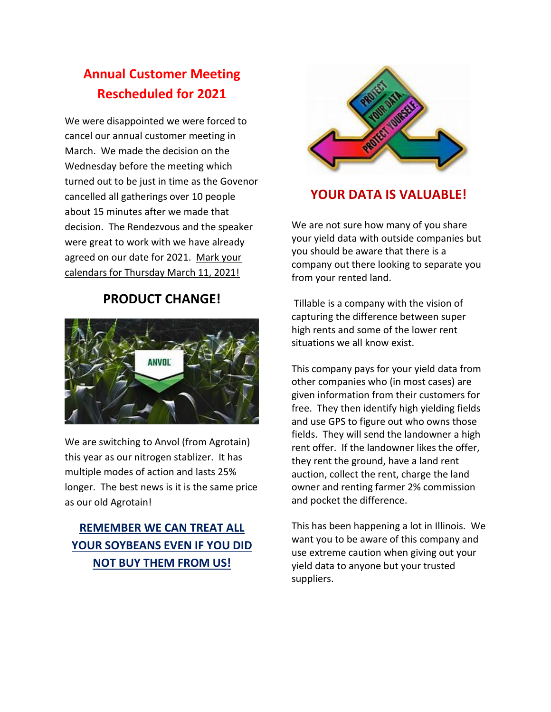# **Annual Customer Meeting Rescheduled for 2021**

We were disappointed we were forced to cancel our annual customer meeting in March. We made the decision on the Wednesday before the meeting which turned out to be just in time as the Govenor cancelled all gatherings over 10 people about 15 minutes after we made that decision. The Rendezvous and the speaker were great to work with we have already agreed on our date for 2021. Mark your calendars for Thursday March 11, 2021!

#### **PRODUCT CHANGE!**



We are switching to Anvol (from Agrotain) this year as our nitrogen stablizer. It has multiple modes of action and lasts 25% longer. The best news is it is the same price as our old Agrotain!

### **REMEMBER WE CAN TREAT ALL YOUR SOYBEANS EVEN IF YOU DID NOT BUY THEM FROM US!**



### **YOUR DATA IS VALUABLE!**

We are not sure how many of you share your yield data with outside companies but you should be aware that there is a company out there looking to separate you from your rented land.

 Tillable is a company with the vision of capturing the difference between super high rents and some of the lower rent situations we all know exist.

This company pays for your yield data from other companies who (in most cases) are given information from their customers for free. They then identify high yielding fields and use GPS to figure out who owns those fields. They will send the landowner a high rent offer. If the landowner likes the offer, they rent the ground, have a land rent auction, collect the rent, charge the land owner and renting farmer 2% commission and pocket the difference.

This has been happening a lot in Illinois. We want you to be aware of this company and use extreme caution when giving out your yield data to anyone but your trusted suppliers.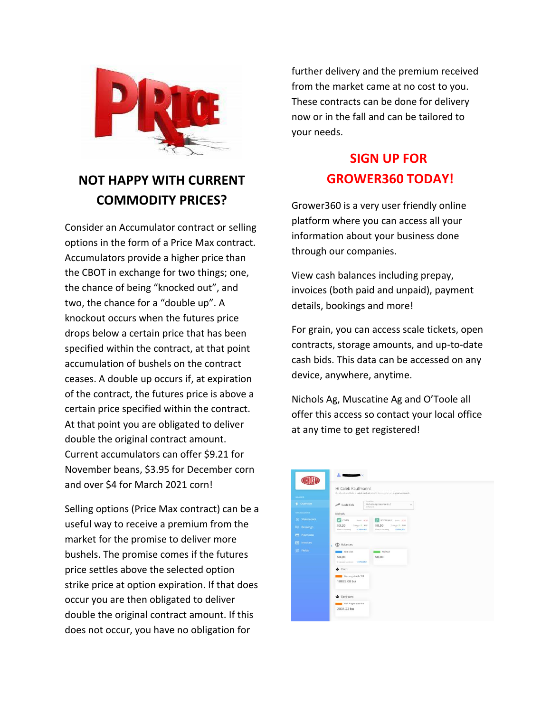

# **NOT HAPPY WITH CURRENT COMMODITY PRICES?**

Consider an Accumulator contract or selling options in the form of a Price Max contract. Accumulators provide a higher price than the CBOT in exchange for two things; one, the chance of being "knocked out", and two, the chance for a "double up". A knockout occurs when the futures price drops below a certain price that has been specified within the contract, at that point accumulation of bushels on the contract ceases. A double up occurs if, at expiration of the contract, the futures price is above a certain price specified within the contract. At that point you are obligated to deliver double the original contract amount. Current accumulators can offer \$9.21 for November beans, \$3.95 for December corn and over \$4 for March 2021 corn!

Selling options (Price Max contract) can be a useful way to receive a premium from the market for the promise to deliver more bushels. The promise comes if the futures price settles above the selected option strike price at option expiration. If that does occur you are then obligated to deliver double the original contract amount. If this does not occur, you have no obligation for

further delivery and the premium received from the market came at no cost to you. These contracts can be done for delivery now or in the fall and can be tailored to your needs.

## **SIGN UP FOR GROWER360 TODAY!**

Grower360 is a very user friendly online platform where you can access all your information about your business done through our companies.

View cash balances including prepay, invoices (both paid and unpaid), payment details, bookings and more!

For grain, you can access scale tickets, open contracts, storage amounts, and up-to-date cash bids. This data can be accessed on any device, anywhere, anytime.

Nichols Ag, Muscatine Ag and O'Toole all offer this access so contact your local office at any time to get registered!

|                    | Hi Caleb Kaufmann!                                                                                                   |
|--------------------|----------------------------------------------------------------------------------------------------------------------|
| <b>GLANCE</b>      | Go ahead and take a guick look at what's tiem going on in your account.                                              |
| 4 Overview         | Location<br>Nichols Agriservice LLC<br>Cash Bids<br>ŵ<br>Nortein, W.                                                 |
| <b>MY ACCOUNT</b>  | Nichols                                                                                                              |
| R Statements       | <b>C</b> CORN<br>SOYBEANS Basis 0.34<br>firm 0.20                                                                    |
| <b>LE Bookings</b> | \$3,20<br>Disrip + 0.01<br>\$8.50<br>Chinan 9, 0.04<br>March Delivery<br>EXPLORE<br>March Datterry<br><b>EXPLORE</b> |
| <b>Et Payments</b> |                                                                                                                      |
| Invoices<br>目      | S Balances<br>z.                                                                                                     |
| <b>SS</b> Fields   | NET DUE<br><b>BELLEY PREPAY</b><br>\$0.00<br>\$0.00<br>Il Universit Sweeters EXPLORE                                 |
|                    | Corn                                                                                                                 |
|                    | Non-negotiable WR<br>18825.08 bu                                                                                     |
|                    | Soybeans                                                                                                             |
|                    | Non-negotiable With                                                                                                  |
|                    | 2031.22 bu                                                                                                           |